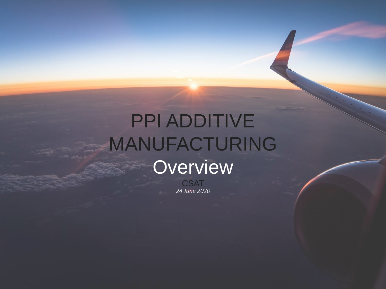# PPI ADDITIVE MANUFACTURING **Overview**

*24 June 2020* **CSAT**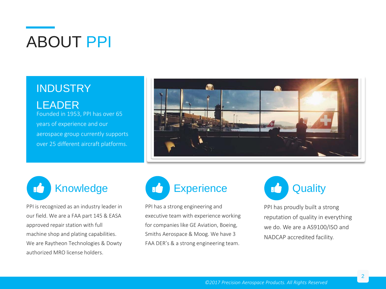# ABOUT PPI

#### **INDUSTRY**

LEADER Founded in 1953, PPI has over 65 years of experience and our aerospace group currently supports over 25 different aircraft platforms.





PPI is recognized as an industry leader in our field. We are a FAA part 145 & EASA approved repair station with full machine shop and plating capabilities. We are Raytheon Technologies & Dowty authorized MRO license holders.



PPI has a strong engineering and executive team with experience working for companies like GE Aviation, Boeing, Smiths Aerospace & Moog. We have 3 FAA DER's & a strong engineering team.



PPI has proudly built a strong reputation of quality in everything we do. We are a AS9100/ISO and NADCAP accredited facility.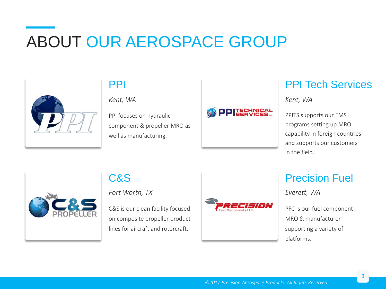# ABOUT OUR AEROSPACE GROUP



### PPI

*Kent, WA*

PPI focuses on hydraulic component & propeller MRO as well as manufacturing.



### PPI Tech Services

*Kent, WA*

PPITS supports our FMS programs setting up MRO capability in foreign countries and supports our customers in the field.



#### C&S

*Fort Worth, TX*

C&S is our clean facility focused on composite propeller product lines for aircraft and rotorcraft.



#### Precision Fuel

*Everett, WA*

PFC is our fuel component MRO & manufacturer supporting a variety of platforms.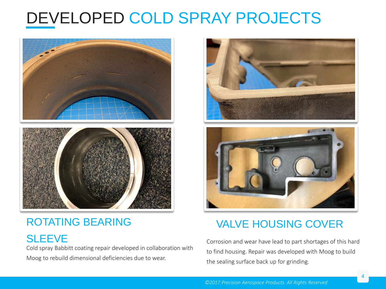# DEVELOPED COLD SPRAY PROJECTS



### ROTATING BEARING

**SLEEVE** 

Cold spray Babbitt coating repair developed in collaboration with Moog to rebuild dimensional deficiencies due to wear.





### VALVE HOUSING COVER

Corrosion and wear have lead to part shortages of this hard to find housing. Repair was developed with Moog to build the sealing surface back up for grinding.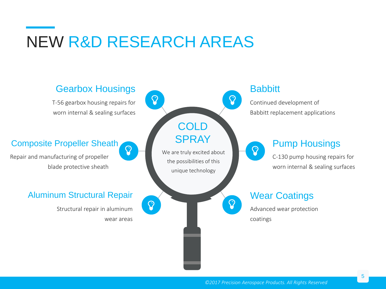## NEW R&D RESEARCH AREAS